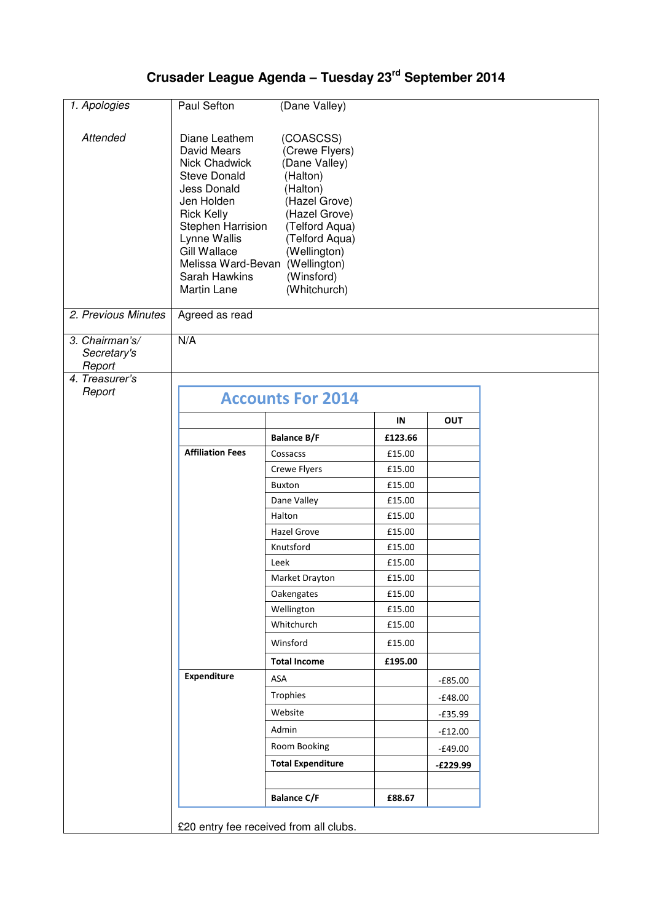## **Crusader League Agenda – Tuesday 23rd September 2014**

| Paul Sefton                                                                                                                                                                                   | (Dane Valley)                                                                                                                                                                            |                                                                                                                                                                |                                   |            |  |  |  |
|-----------------------------------------------------------------------------------------------------------------------------------------------------------------------------------------------|------------------------------------------------------------------------------------------------------------------------------------------------------------------------------------------|----------------------------------------------------------------------------------------------------------------------------------------------------------------|-----------------------------------|------------|--|--|--|
| Diane Leathem<br>David Mears<br>Nick Chadwick<br><b>Steve Donald</b><br>Jess Donald<br>Jen Holden<br><b>Rick Kelly</b><br>Lynne Wallis<br><b>Gill Wallace</b><br>Sarah Hawkins<br>Martin Lane | (COASCSS)<br>(Crewe Flyers)<br>(Dane Valley)<br>(Halton)<br>(Halton)<br>(Hazel Grove)<br>(Hazel Grove)<br>(Telford Aqua)<br>(Telford Aqua)<br>(Wellington)<br>(Winsford)<br>(Whitchurch) |                                                                                                                                                                |                                   |            |  |  |  |
|                                                                                                                                                                                               |                                                                                                                                                                                          |                                                                                                                                                                |                                   |            |  |  |  |
| N/A                                                                                                                                                                                           |                                                                                                                                                                                          |                                                                                                                                                                |                                   |            |  |  |  |
|                                                                                                                                                                                               |                                                                                                                                                                                          |                                                                                                                                                                |                                   |            |  |  |  |
|                                                                                                                                                                                               |                                                                                                                                                                                          |                                                                                                                                                                |                                   |            |  |  |  |
|                                                                                                                                                                                               |                                                                                                                                                                                          |                                                                                                                                                                |                                   |            |  |  |  |
|                                                                                                                                                                                               |                                                                                                                                                                                          |                                                                                                                                                                |                                   |            |  |  |  |
|                                                                                                                                                                                               |                                                                                                                                                                                          |                                                                                                                                                                |                                   |            |  |  |  |
| <b>Affiliation Fees</b>                                                                                                                                                                       |                                                                                                                                                                                          |                                                                                                                                                                |                                   |            |  |  |  |
|                                                                                                                                                                                               |                                                                                                                                                                                          |                                                                                                                                                                |                                   |            |  |  |  |
|                                                                                                                                                                                               | <b>Buxton</b>                                                                                                                                                                            | £15.00                                                                                                                                                         |                                   |            |  |  |  |
|                                                                                                                                                                                               | Dane Valley                                                                                                                                                                              | £15.00                                                                                                                                                         |                                   |            |  |  |  |
|                                                                                                                                                                                               | Halton                                                                                                                                                                                   | £15.00                                                                                                                                                         |                                   |            |  |  |  |
|                                                                                                                                                                                               | <b>Hazel Grove</b>                                                                                                                                                                       | £15.00                                                                                                                                                         |                                   |            |  |  |  |
|                                                                                                                                                                                               | Knutsford                                                                                                                                                                                | £15.00                                                                                                                                                         |                                   |            |  |  |  |
|                                                                                                                                                                                               | Leek                                                                                                                                                                                     | £15.00                                                                                                                                                         |                                   |            |  |  |  |
|                                                                                                                                                                                               | Market Drayton                                                                                                                                                                           | £15.00                                                                                                                                                         |                                   |            |  |  |  |
|                                                                                                                                                                                               | Oakengates                                                                                                                                                                               | £15.00                                                                                                                                                         |                                   |            |  |  |  |
|                                                                                                                                                                                               |                                                                                                                                                                                          | £15.00                                                                                                                                                         |                                   |            |  |  |  |
|                                                                                                                                                                                               |                                                                                                                                                                                          | £15.00                                                                                                                                                         |                                   |            |  |  |  |
|                                                                                                                                                                                               | Winsford                                                                                                                                                                                 | £15.00                                                                                                                                                         |                                   |            |  |  |  |
|                                                                                                                                                                                               | <b>Total Income</b>                                                                                                                                                                      | £195.00                                                                                                                                                        |                                   |            |  |  |  |
|                                                                                                                                                                                               | ASA                                                                                                                                                                                      |                                                                                                                                                                | $-£85.00$                         |            |  |  |  |
|                                                                                                                                                                                               | Trophies                                                                                                                                                                                 |                                                                                                                                                                | $-£48.00$                         |            |  |  |  |
|                                                                                                                                                                                               | Website                                                                                                                                                                                  |                                                                                                                                                                | $-£35.99$                         |            |  |  |  |
|                                                                                                                                                                                               | Admin                                                                                                                                                                                    |                                                                                                                                                                | $-£12.00$                         |            |  |  |  |
|                                                                                                                                                                                               | Room Booking                                                                                                                                                                             |                                                                                                                                                                | $-£49.00$                         |            |  |  |  |
|                                                                                                                                                                                               | <b>Total Expenditure</b>                                                                                                                                                                 |                                                                                                                                                                | $-E229.99$                        |            |  |  |  |
|                                                                                                                                                                                               |                                                                                                                                                                                          |                                                                                                                                                                |                                   |            |  |  |  |
|                                                                                                                                                                                               | <b>Balance C/F</b>                                                                                                                                                                       | £88.67                                                                                                                                                         |                                   |            |  |  |  |
| £20 entry fee received from all clubs.                                                                                                                                                        |                                                                                                                                                                                          |                                                                                                                                                                |                                   |            |  |  |  |
|                                                                                                                                                                                               | Agreed as read<br><b>Expenditure</b>                                                                                                                                                     | Stephen Harrision<br>Melissa Ward-Bevan (Wellington)<br><b>Accounts For 2014</b><br><b>Balance B/F</b><br>Cossacss<br>Crewe Flyers<br>Wellington<br>Whitchurch | IN<br>£123.66<br>£15.00<br>£15.00 | <b>OUT</b> |  |  |  |